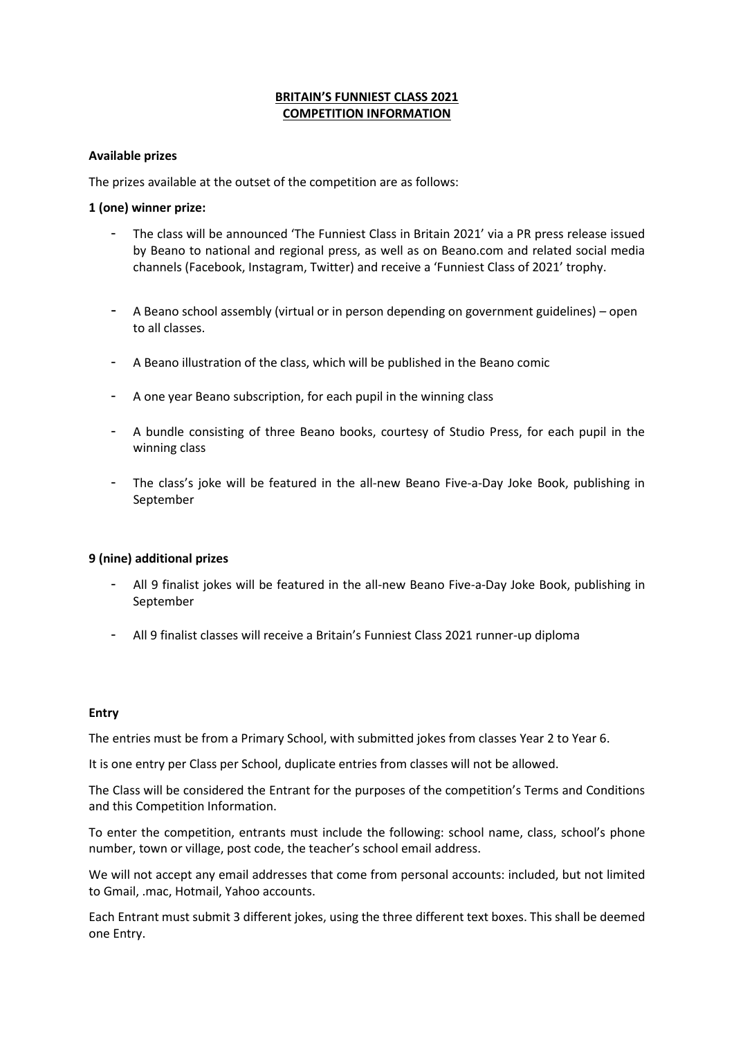# **BRITAIN'S FUNNIEST CLASS 2021 COMPETITION INFORMATION**

## **Available prizes**

The prizes available at the outset of the competition are as follows:

# **1 (one) winner prize:**

- The class will be announced 'The Funniest Class in Britain 2021' via a PR press release issued by Beano to national and regional press, as well as on Beano.com and related social media channels (Facebook, Instagram, Twitter) and receive a 'Funniest Class of 2021' trophy.
- A Beano school assembly (virtual or in person depending on government guidelines) open to all classes.
- A Beano illustration of the class, which will be published in the Beano comic
- A one year Beano subscription, for each pupil in the winning class
- A bundle consisting of three Beano books, courtesy of Studio Press, for each pupil in the winning class
- The class's joke will be featured in the all-new Beano Five-a-Day Joke Book, publishing in September

### **9 (nine) additional prizes**

- All 9 finalist jokes will be featured in the all-new Beano Five-a-Day Joke Book, publishing in September
- All 9 finalist classes will receive a Britain's Funniest Class 2021 runner-up diploma

### **Entry**

The entries must be from a Primary School, with submitted jokes from classes Year 2 to Year 6.

It is one entry per Class per School, duplicate entries from classes will not be allowed.

The Class will be considered the Entrant for the purposes of the competition's Terms and Conditions and this Competition Information.

To enter the competition, entrants must include the following: school name, class, school's phone number, town or village, post code, the teacher's school email address.

We will not accept any email addresses that come from personal accounts: included, but not limited to Gmail, .mac, Hotmail, Yahoo accounts.

Each Entrant must submit 3 different jokes, using the three different text boxes. This shall be deemed one Entry.